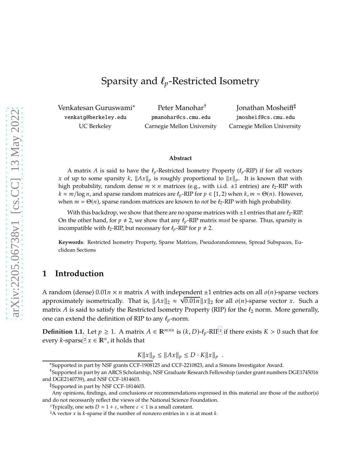# Sparsity and  $\ell_p$ -Restricted Isometry

Venkatesan Guruswami<sup>∗</sup> venkatg@berkeley.edu UC Berkeley

Peter Manohar† pmanohar@cs.cmu.edu Carnegie Mellon University

Jonathan Mosheiff‡ jmosheif@cs.cmu.edu Carnegie Mellon University

#### **Abstract**

A matrix A is said to have the  $\ell_p$ -Restricted Isometry Property ( $\ell_p$ -RIP) if for all vectors x of up to some sparsity k,  $||Ax||_p$  is roughly proportional to  $||x||_p$ . It is known that with high probability, random dense  $m \times n$  matrices (e.g., with i.i.d.  $\pm 1$  entries) are  $\ell_2$ -RIP with  $k \approx m/\log n$ , and sparse random matrices are  $\ell_p$ -RIP for  $p \in [1, 2)$  when  $k, m = \Theta(n)$ . However, when  $m = \Theta(n)$ , sparse random matrices are known to *not* be  $\ell_2$ -RIP with high probability.

With this backdrop, we show that there are no sparse matrices with  $\pm 1$  entries that are  $\ell_2$ -RIP. On the other hand, for  $p \neq 2$ , we show that any  $\ell_p$ -RIP matrix *must* be sparse. Thus, sparsity is incompatible with  $\ell_2$ -RIP, but necessary for  $\ell_\nu$ -RIP for  $p \neq 2$ .

**Keywords**: Restricted Isometry Property, Sparse Matrices, Pseudorandomness, Spread Subspaces, Euclidean Sections

### **1 Introduction**

A random (dense)  $0.01n \times n$  matrix A with independent  $\pm 1$  entries acts on all  $o(n)$ -sparse vectors approximately isometrically. That is,  $||Ax||_2 \approx \sqrt{0.01n} ||x||_2$  for all  $o(n)$ -sparse vector x. Such a matrix A is said to satisfy the Restricted Isometry Property (RIP) for the  $\ell_2$  norm. More generally, one can extend the definition of RIP to any  $\ell_p$ -norm.

<span id="page-0-2"></span>**Definition [1](#page-0-0).1.** Let  $p \ge 1$ . A matrix  $A \in \mathbb{R}^{m \times n}$  is  $(k, D)$ - $\ell_p$ -RIP<sup>1</sup> if there exists  $K > 0$  such that for every *k*-sparse<sup>[2](#page-0-1)</sup>  $x \in \mathbb{R}^n$ , it holds that

$$
K||x||_p \le ||Ax||_p \le D \cdot K||x||_p .
$$

<sup>∗</sup>Supported in part by NSF grants CCF-1908125 and CCF-2210823, and a Simons Investigator Award.

<sup>†</sup>Supported in part by an ARCS Scholarship, NSF Graduate Research Fellowship (under grant numbers DGE1745016 and DGE2140739), and NSF CCF-1814603.

<sup>‡</sup>Supported in part by NSF CCF-1814603.

Any opinions, findings, and conclusions or recommendations expressed in this material are those of the author(s) and do not necessarily reflect the views of the National Science Foundation.

<sup>&</sup>lt;sup>1</sup>Typically, one sets  $D = 1 + \varepsilon$ , where  $\varepsilon < 1$  is a small constant.

<span id="page-0-1"></span><span id="page-0-0"></span><sup>&</sup>lt;sup>2</sup>A vector  $x$  is  $k$ -sparse if the number of nonzero entries in  $x$  is at most  $k$ .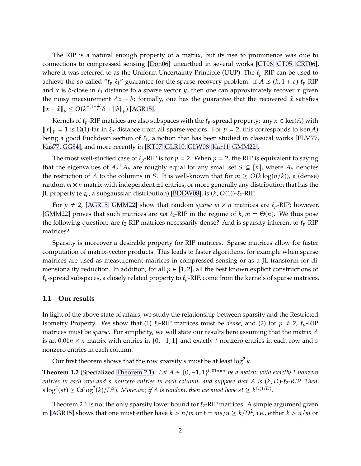The RIP is a natural enough property of a matrix, but its rise to prominence was due to connections to compressed sensing [\[Don06\]](#page-9-0) unearthed in several works [\[CT06,](#page-9-1) [CT05,](#page-9-2) [CRT06\]](#page-9-3), where it was referred to as the Uniform Uncertainty Principle (UUP). The  $\ell_p$ -RIP can be used to achieve the so-called " $\ell_p$ - $\ell_1$ " guarantee for the sparse recovery problem: if A is  $(k, 1 + \varepsilon)$ - $\ell_p$ -RIP and x is  $\delta$ -close in  $\ell_1$  distance to a sparse vector y, then one can approximately recover x given the noisy measurement  $Ax + b$ ; formally, one has the guarantee that the recovered  $\hat{x}$  satisfies  $||x - \hat{x}||_p \le O(k^{-(1-\frac{1}{p})}\delta + ||b||_p)$  [\[AGR15\]](#page-9-4).

Kernels of  $\ell_p$ -RIP matrices are also subspaces with the  $\ell_p$ -spread property: any  $x \in \text{ker}(A)$  with  $||x||_p = 1$  is  $\Omega(1)$ -far in  $\ell_p$ -distance from all sparse vectors. For  $p = 2$ , this corresponds to ker(A) being a good Euclidean section of  $\ell_1$ , a notion that has been studied in classical works [\[FLM77,](#page-9-5) [Kas77,](#page-10-0) [GG84\]](#page-9-6), and more recently in [\[KT07,](#page-10-1) [GLR10,](#page-9-7) [GLW08,](#page-9-8) [Kar11,](#page-10-2) [GMM22\]](#page-10-3).

The most well-studied case of  $\ell_p$ -RIP is for  $p = 2$ . When  $p = 2$ , the RIP is equivalent to saying that the eigenvalues of  $A_S$   $A_S$  are roughly equal for any small set  $S \subseteq [n]$ , where  $A_S$  denotes the restriction of A to the columns in S. It is well-known that for  $m \ge O(k \log(n/k))$ , a (dense) random  $m \times n$  matrix with independent  $\pm 1$  entries, or more generally any distribution that has the JL property (e.g., a subgaussian distribution) [\[BDDW08\]](#page-9-9), is  $(k, O(1))$ - $\ell_2$ -RIP.

For  $p \neq 2$ , [\[AGR15,](#page-9-4) [GMM22\]](#page-10-3) show that random *sparse*  $m \times n$  matrices are  $\ell_p$ -RIP; however, [\[GMM22\]](#page-10-3) proves that such matrices are *not*  $\ell_2$ -RIP in the regime of  $k, m = \Theta(n)$ . We thus pose the following question: are  $\ell_2$ -RIP matrices necessarily dense? And is sparsity inherent to  $\ell_p$ -RIP matrices?

Sparsity is moreover a desirable property for RIP matrices. Sparse matrices allow for faster computation of matrix-vector products. This leads to faster algorithms, for example when sparse matrices are used as measurement matrices in compressed sensing or as a JL transform for dimensionality reduction. In addition, for all  $p \in [1,2]$ , all the best known explicit constructions of  $\ell_p$ -spread subspaces, a closely related property to  $\ell_p$ -RIP, come from the kernels of sparse matrices.

#### <span id="page-1-1"></span>**1.1 Our results**

In light of the above state of affairs, we study the relationship between sparsity and the Restricted Isometry Property. We show that (1)  $\ell_2$ -RIP matrices must be *dense*, and (2) for  $p \neq 2$ ,  $\ell_p$ -RIP matrices must be *sparse*. For simplicity, we will state our results here assuming that the matrix A is an  $0.01n \times n$  matrix with entries in {0, -1, 1} and exactly t nonzero entries in each row and s nonzero entries in each column.

<span id="page-1-0"></span>Our first theorem shows that the row sparsity  $s$  must be at least  $\log^2 k.$ 

**Theorem 1.2** (Specialized [Theorem 2.1\)](#page-2-0). Let  $A \in \{0, -1, 1\}^{0.01n \times n}$  be a matrix with exactly t nonzero *entries in each row and s nonzero entries in each column, and suppose that A* is (*k*, *D*)- $\ell_2$ -RIP. Then,  $\log^2(st) \geq \Omega(\log^2(k)/D^2)$ . Moreover, if A is random, then we must have  $st \geq k^{\Omega(1/D)}$ .

[Theorem 2.1](#page-2-0) is not the only sparsity lower bound for  $\ell_2$ -RIP matrices. A simple argument given in [\[AGR15\]](#page-9-4) shows that one must either have  $k > n/m$  or  $t = ms/n \ge k/D^2$ , i.e., either  $k > n/m$  or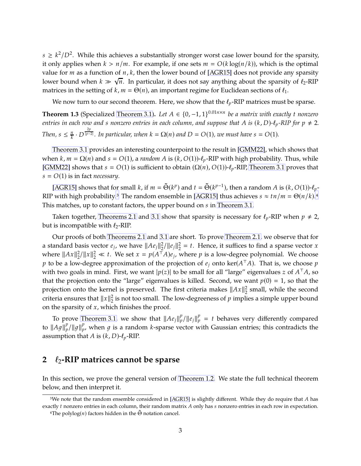$s \geq k^2/D^2$ . While this achieves a substantially stronger worst case lower bound for the sparsity, it only applies when  $k > n/m$ . For example, if one sets  $m = O(k \log(n/k))$ , which is the optimal value for  $m$  as a function of  $n$ ,  $k$ , then the lower bound of [\[AGR15\]](#page-9-4) does not provide any sparsity lower bound when  $k \gg \sqrt{n}$ . In particular, it does not say anything about the sparsity of  $\ell_2$ -RIP matrices in the setting of  $k$ ,  $m = \Theta(n)$ , an important regime for Euclidean sections of  $\ell_1$ .

<span id="page-2-3"></span>We now turn to our second theorem. Here, we show that the  $\ell_p$ -RIP matrices must be sparse.

**Theorem 1.3** (Specialized [Theorem 3.1\)](#page-6-0). Let  $A \in \{0, -1, 1\}^{0.01n \times n}$  be a matrix with exactly t nonzero *entries in each row and s nonzero entries in each column, and suppose that* A is  $(k, D)$ - $\ell_p$ -RIP for  $p \neq 2$ . *Then,*  $s \leq \frac{n}{k}$  $\frac{n}{k} \cdot D^{\frac{2p}{|p-2|}}$ . In particular, when  $k = \Omega(n)$  and  $D = O(1)$ , we must have  $s = O(1)$ .

[Theorem 3.1](#page-6-0) provides an interesting counterpoint to the result in [\[GMM22\]](#page-10-3), which shows that when  $k, m = \Omega(n)$  and  $s = O(1)$ , a *random A* is  $(k, O(1))$ - $\ell_p$ -RIP with high probability. Thus, while [\[GMM22\]](#page-10-3) shows that  $s = O(1)$  is sufficient to obtain  $(\Omega(n), O(1))$ - $\ell_p$ -RIP, [Theorem 3.1](#page-6-0) proves that  $s = O(1)$  is in fact *necessary*.

[\[AGR15\]](#page-9-4) shows that for small k, if  $m = \tilde{\Theta}(k^p)$  and  $t = \tilde{\Theta}(k^{p-1})$ , then a random A is  $(k, O(1))$ - $\ell_p$ -RIP with high probability.<sup>[3](#page-2-1)</sup> The random ensemble in [\[AGR15\]](#page-9-4) thus achieves  $s \approx tn/m = \Theta(n/k)$ .<sup>[4](#page-2-2)</sup> This matches, up to constant factors, the upper bound on s in [Theorem 3.1.](#page-6-0)

Taken together, [Theorems 2.1](#page-2-0) and [3.1](#page-6-0) show that sparsity is necessary for  $\ell_p$ -RIP when  $p \neq 2$ , but is incompatible with  $\ell_2$ -RIP.

Our proofs of both [Theorems 2.1](#page-2-0) and [3.1](#page-6-0) are short. To prove [Theorem 2.1,](#page-2-0) we observe that for a standard basis vector  $e_j$ , we have  $||Ae_j||_2^2$  $2^2/\|e_j\|_2^2$  $2^2 = t$ . Hence, it suffices to find a sparse vector x where  $||Ax||_2^2$  $\frac{2}{2}$ / $||x||_2^2 \ll t$ . We set  $x = p(A^\top A)e_j$ , where  $p$  is a low-degree polynomial. We choose  $p$  to be a low-degree approximation of the projection of  $e_j$  onto  $\ker(A^{\top}A)$ . That is, we choose  $p$ with two goals in mind. First, we want  $|p(z)|$  to be small for all "large" eigenvalues  $z$  of  $A<sup>+</sup>A$ , so that the projection onto the "large" eigenvalues is killed. Second, we want  $p(0) = 1$ , so that the projection onto the kernel is preserved. The first criteria makes  $||Ax||_2^2$  $\frac{2}{2}$  small, while the second criteria ensures that  $||x||_2^2$  $\frac{2}{2}$  is not too small. The low-degreeness of  $p$  implies a simple upper bound on the sparsity of  $x$ , which finishes the proof.

To prove [Theorem 3.1,](#page-6-0) we show that  $||Ae_j||_p^p/||e_j||_p^p = t$  behaves very differently compared to  $\Vert Ag \Vert_p^p / \Vert g \Vert_p^p$  $_{p}^{\nu}$ , when  $g$  is a random k-sparse vector with Gaussian entries; this contradicts the assumption that A is  $(k, D)$ - $\ell_p$ -RIP.

### **2** ℓ2**-RIP matrices cannot be sparse**

<span id="page-2-0"></span>In this section, we prove the general version of [Theorem 1.2.](#page-1-0) We state the full technical theorem below, and then interpret it.

<sup>&</sup>lt;sup>3</sup>We note that the random ensemble considered in [\[AGR15\]](#page-9-4) is slightly different. While they do require that A has exactly  $t$  nonzero entries in each column, their random matrix  $A$  only has  $s$  nonzero entries in each row in expectation.

<span id="page-2-2"></span><span id="page-2-1"></span><sup>&</sup>lt;sup>4</sup>The polylog(*n*) factors hidden in the  $\tilde{\Theta}$  notation cancel.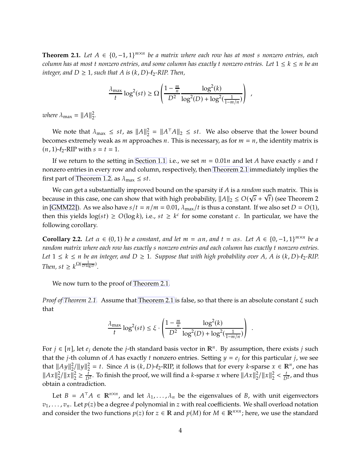**Theorem 2.1.** Let  $A \in \{0, -1, 1\}^{m \times n}$  be a matrix where each row has at most s nonzero entries, each *column has at most t nonzero entries, and some column has exactly t nonzero entries. Let*  $1 \leq k \leq n$  *be an integer, and*  $D \geq 1$ *, such that*  $A$  *is*  $(k, D)$ *-l*<sub>2</sub>*-RIP. Then*,

$$
\frac{\lambda_{\max}}{t} \log^2(st) \ge \Omega\left(\frac{1 - \frac{m}{n}}{D^2} \frac{\log^2(k)}{\log^2(D) + \log^2(\frac{1}{1 - m/n})}\right) ,
$$

*where*  $\lambda_{\text{max}} = ||A||_2^2$ 2 *.*

We note that  $\lambda_{\text{max}} \leq st$ , as  $||A||_2^2$  $\frac{2}{2} = ||A^{\top}A||_2 \leq st$ . We also observe that the lower bound becomes extremely weak as  $m$  approaches  $n$ . This is necessary, as for  $m = n$ , the identity matrix is  $(n, 1)$ - $\ell_2$ -RIP with  $s = t = 1$ .

If we return to the setting in [Section 1.1,](#page-1-1) i.e., we set  $m = 0.01n$  and let A have exactly s and t nonzero entries in every row and column, respectively, then [Theorem 2.1](#page-2-0) immediately implies the first part of [Theorem 1.2,](#page-1-0) as  $\lambda_{\text{max}} \leq st$ .

We can get a substantially improved bound on the sparsity if A is a *random* such matrix. This is because in this case, one can show that with high probability,  $||A||_2 \le O(\sqrt{s} + \sqrt{t})$  (see Theorem 2 in [\[GMM22\]](#page-10-3)). As we also have  $s/t = n/m = 0.01$ ,  $\lambda_{\text{max}}/t$  is thus a constant. If we also set  $D = O(1)$ , then this yields  $log(st) \ge O(log k)$ , i.e.,  $st \ge k^c$  for some constant  $c$ . In particular, we have the following corollary.

**Corollary 2.2.** *Let*  $\alpha \in (0,1)$  *be a constant, and let*  $m = \alpha n$ *, and*  $t = \alpha s$ *. Let*  $A \in \{0,-1,1\}^{m \times n}$  *be a random matrix where each row has exactly s nonzero entries and each column has exactly t nonzero entries. Let*  $1 \leq k \leq n$  *be an integer, and*  $D \geq 1$ *. Suppose that with high probability over* A, A is  $(k, D)$ - $\ell_2$ -RIP. *Then,*  $st \geq k^{\Omega(\frac{1}{D \log D})}$ .

We now turn to the proof of [Theorem 2.1.](#page-2-0)

*Proof of [Theorem 2.1.](#page-2-0)* Assume that [Theorem 2.1](#page-2-0) is false, so that there is an absolute constant  $\xi$  such that

$$
\frac{\lambda_{\max}}{t} \log^2(st) \le \xi \cdot \left( \frac{1 - \frac{m}{n}}{D^2} \frac{\log^2(k)}{\log^2(D) + \log^2(\frac{1}{1 - m/n})} \right)
$$

.

For  $j \in [n]$ , let  $e_j$  denote the  $j$ -th standard basis vector in  $\mathbb{R}^n$ . By assumption, there exists  $j$  such that the *j*-th column of *A* has exactly *t* nonzero entries. Setting  $y = e_i$  for this particular *j*, we see that  $||Ay||_2^2$  $\frac{2}{2}$ /||y|| $\frac{2}{2}$  $2^2 = t$ . Since A is  $(k, D)$ - $\ell_2$ -RIP, it follows that for every  $k$ -sparse  $x \in \mathbb{R}^n$ , one has  $||Ax||_2^2$  $\frac{2}{2}$ /  $\|x\|_2^2$  $\frac{2}{2} \geq \frac{t}{D^2}$ . To finish the proof, we will find a *k*-sparse *x* where  $||Ax||_2^2$  $\frac{2}{2}$ /  $\|x\|_2^2$  $\frac{2}{2} < \frac{t}{D^2}$ , and thus obtain a contradiction.

Let  $B = A^{\top}A \in \mathbb{R}^{n \times n}$ , and let  $\lambda_1, \ldots, \lambda_n$  be the eigenvalues of *B*, with unit eigenvectors  $v_1, \ldots, v_n$ . Let  $p(z)$  be a degree d polynomial in z with real coefficients. We shall overload notation and consider the two functions  $p(z)$  for  $z \in \mathbb{R}$  and  $p(M)$  for  $M \in \mathbb{R}^{n \times n}$ ; here, we use the standard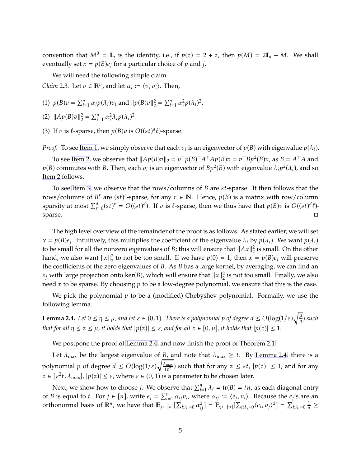convention that  $M^0 = \mathbb{I}_n$  is the identity, i.e., if  $p(z) = 2 + z$ , then  $p(M) = 2\mathbb{I}_n + M$ . We shall eventually set  $x = p(B)e_j$  for a particular choice of p and j.

<span id="page-4-4"></span>We will need the following simple claim.

<span id="page-4-0"></span>*Claim* 2.3. Let  $v \in \mathbb{R}^n$ , and let  $\alpha_i := \langle v, v_i \rangle$ . Then,

- <span id="page-4-1"></span>(1)  $p(B)v = \sum_{i=1}^{n} \alpha_i p(\lambda_i)v_i$  and  $||p(B)v||_2^2$  $\sum_{i=1}^{n} \alpha_i^2$  $\frac{2}{i}p(\lambda_i)^2$ ,
- <span id="page-4-2"></span>(2)  $\|Ap(B)v\|_2^2$  $\sum_{i=1}^{n} \alpha_i^2$  $\frac{2}{i} \lambda_i p(\lambda_i)^2$
- (3) If  $v$  is  $\ell$ -sparse, then  $p(B)v$  is  $O((st)^d \ell)$ -sparse.

*Proof.* To see [Item 1,](#page-4-0) we simply observe that each  $v_i$  is an eigenvector of  $p(B)$  with eigenvalue  $p(\lambda_i)$ .

To see [Item 2,](#page-4-1) we observe that  $||Ap(B)v||_2 = v^{\top}p(B)^{\top}A^{\top}Ap(B)v = v^{\top}Bp^2(B)v$ , as  $B = A^{\top}A$  and  $p(B)$  commutes with B. Then, each  $v_i$  is an eigenvector of  $Bp^2(B)$  with eigenvalue  $\lambda_i p^2(\lambda_i)$ , and so [Item 2](#page-4-1) follows.

To see [Item 3,](#page-4-2) we observe that the rows/columns of  $B$  are  $st$ -sparse. It then follows that the rows/columns of  $B^r$  are  $(st)^r$ -sparse, for any  $r \in \mathbb{N}$ . Hence,  $p(B)$  is a matrix with row/column sparsity at most  $\sum_{r=0}^{d} (st)^r = O((st)^d)$ . If  $v$  is  $\ell$ -sparse, then we thus have that  $p(B)v$  is  $O((st)^d\ell)$ sparse.

The high level overview of the remainder of the proof is as follows. As stated earlier, we will set  $x = p(B)e_j$ . Intuitively, this multiplies the coefficient of the eigenvalue  $\lambda_i$  by  $p(\lambda_i)$ . We want  $p(\lambda_i)$ to be small for all the nonzero eigenvalues of *B*; this will ensure that  $||Ax||_2^2$  $\frac{2}{2}$  is small. On the other hand, we also want  $||x||_2^2$  $2<sub>2</sub>$  to not be too small. If we have  $p(0) = 1$ , then  $x = p(B)e_j$  will preserve the coefficients of the zero eigenvalues of  $B$ . As  $B$  has a large kernel, by averaging, we can find an  $e_j$  with large projection onto ker(*B*), which will ensure that  $||x||_2^2$  $\frac{2}{2}$  is not too small. Finally, we also need x to be sparse. By choosing  $p$  to be a low-degree polynomial, we ensure that this is the case.

<span id="page-4-3"></span>We pick the polynomial  $p$  to be a (modified) Chebyshev polynomial. Formally, we use the following lemma.

**Lemma 2.4.** Let  $0 \le \eta \le \mu$ , and let  $\varepsilon \in (0, 1)$ . There is a polynomial p of degree  $d \le O(\log(1/\varepsilon)\sqrt{\frac{\mu}{\eta}})$  such *that for all*  $\eta \leq z \leq \mu$ *, it holds that*  $|p(z)| \leq \varepsilon$ *, and for all*  $z \in [0, \mu]$ *, it holds that*  $|p(z)| \leq 1$ *.* 

We postpone the proof of [Lemma 2.4,](#page-4-3) and now finish the proof of [Theorem 2.1.](#page-2-0)

Let  $\lambda_{\text{max}}$  be the largest eigenvalue of *B*, and note that  $\lambda_{\text{max}} \geq t$ . By [Lemma 2.4,](#page-4-3) there is a polynomial  $p$  of degree  $d \le O(\log(1/\varepsilon)) \sqrt{\frac{\lambda_{\max}}{t \varepsilon^2}}$  $\frac{L_{\max}}{t\epsilon^2}$ ) such that for any  $z \leq st$ ,  $|p(z)| \leq 1$ , and for any  $z \in [\varepsilon^2 t, \lambda_{\max}]$ ,  $|p(z)| \leq \varepsilon$ , where  $\varepsilon \in (0, 1)$  is a parameter to be chosen later.

Next, we show how to choose *j*. We observe that  $\sum_{i=1}^{n} \lambda_i = \text{tr}(B) = t n$ , as each diagonal entry of *B* is equal to *t*. For  $j \in [n]$ , write  $e_j = \sum_{i=1}^n \alpha_{ij} v_i$ , where  $\alpha_{ij} := \langle e_j, v_i \rangle$ . Because the  $e_j$ 's are an orthonormal basis of  $\mathbb{R}^n$ , we have that  $\mathbb{E}_{j\leftarrow[n]}[\sum_{i:\lambda_i=0}\alpha_{ij}^2] = \mathbb{E}_{j\leftarrow[n]}[\sum_{i:\lambda_i=0}\langle e_i, v_j\rangle^2] = \sum_{i:\lambda_i=0}\frac{1}{n} \geq$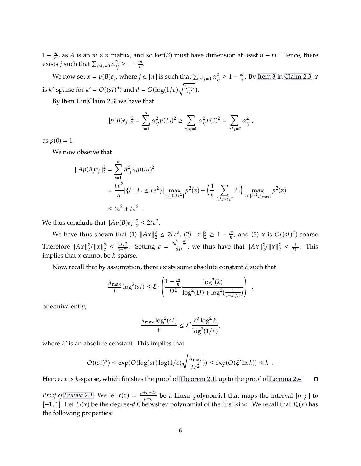$1-\frac{m}{n}$  $\frac{m}{n}$ , as A is an  $m \times n$  matrix, and so ker(B) must have dimension at least  $n - m$ . Hence, there exists  $j$  such that  $\sum_{i:\lambda_i=0} \alpha_{ij}^2 \geq 1 - \frac{m}{n}$  $\frac{m}{n}$ .

We now set  $x = p(B)e_j$ , where  $j \in [n]$  is such that  $\sum_{i:\lambda_i=0} \alpha_{ij}^2 \geq 1 - \frac{m}{n}$  $\frac{m}{n}$ . By [Item 3](#page-4-2) in [Claim 2.3,](#page-4-4) x is *k*'-sparse for  $k' = O((st)^d)$  and  $d = O(\log(1/\varepsilon)) \sqrt{\frac{\lambda_{\text{max}}}{t \varepsilon^2}}$  $\frac{\text{Imax}}{t\epsilon^2}$ ).

By [Item 1](#page-4-0) in [Claim 2.3,](#page-4-4) we have that

$$
||p(B)e_j||_2^2 = \sum_{i=1}^n \alpha_{ij}^2 p(\lambda_i)^2 \ge \sum_{i:\lambda_i=0} \alpha_{ij}^2 p(0)^2 = \sum_{i:\lambda_i=0} \alpha_{ij}^2,
$$

as  $p(0) = 1$ .

We now observe that

$$
\begin{aligned} ||Ap(B)e_j||_2^2 &= \sum_{i=1}^n \alpha_{ij}^2 \lambda_i p(\lambda_i)^2 \\ &= \frac{t\,\varepsilon^2}{n} |\{i : \lambda_i \le t\,\varepsilon^2\}| \max_{z \in [0, t\varepsilon^2]} p^2(z) + \left(\frac{1}{n} \sum_{i:\lambda_i > t\varepsilon^2} \lambda_i\right) \max_{z \in [t\varepsilon^2, \lambda_{\text{max}}]} p^2(z) \\ &\le t\,\varepsilon^2 + t\,\varepsilon^2 \end{aligned}
$$

We thus conclude that  $\|Ap(B)e_j\|_2^2$  $\frac{2}{2} \leq 2t \, \varepsilon^2$ .

We have thus shown that (1)  $\|Ax\|_2^2$  $2^2 \leq 2t \varepsilon^2$ , (2)  $||x||_2^2$  $\frac{2}{2} \geq 1 - \frac{m}{n}$  $\frac{m}{n}$ , and (3) x is  $O((st)^d)$ -sparse. Therefore  $||Ax||_2^2$  $\frac{2}{2}$ /  $\|x\|_2^2$  $\frac{2}{2} \leq \frac{2t \varepsilon^2}{1 - \frac{m}{n}}$  $\frac{2t\epsilon^2}{1-\frac{m}{n}}$ . Setting  $\epsilon =$  $\frac{\sqrt{1-\frac{m}{n}}}{2D}$ , we thus have that  $||Ax||_2^2$  $\frac{2}{2}$ /  $\|x\|_2^2$  $\frac{2}{2} < \frac{t}{D^2}$ . This implies that  $x$  cannot be  $k$ -sparse.

Now, recall that by assumption, there exists some absolute constant  $\xi$  such that

$$
\frac{\lambda_{\max}}{t} \log^2(st) \le \xi \cdot \left( \frac{1 - \frac{m}{n}}{D^2} \frac{\log^2(k)}{\log^2(D) + \log^2(\frac{1}{1 - m/n})} \right) ,
$$

or equivalently,

$$
\frac{\lambda_{\max}\log^2(st)}{t} \le \xi' \frac{\varepsilon^2\log^2 k}{\log^2(1/\varepsilon)},
$$

where  $\xi'$  is an absolute constant. This implies that

$$
O((st)^d) \le \exp(O(\log(st)\log(1/\varepsilon)\sqrt{\frac{\lambda_{\max}}{t\,\varepsilon^2}})) \le \exp(O(\xi'\ln k)) \le k \ .
$$

Hence, x is k-sparse, which finishes the proof of [Theorem 2.1,](#page-2-0) up to the proof of [Lemma 2.4.](#page-4-3)  $\Box$ 

*Proof of [Lemma 2.4.](#page-4-3)* We let  $\ell(z) = \frac{\mu + \eta - 2z}{\mu - \eta}$  $\frac{d\eta}{\mu-\eta}$  be a linear polynomial that maps the interval  $[\eta,\mu]$  to  $[-1, 1]$ . Let  $T_d(x)$  be the degree-d Chebyshev polynomial of the first kind. We recall that  $T_d(x)$  has the following properties: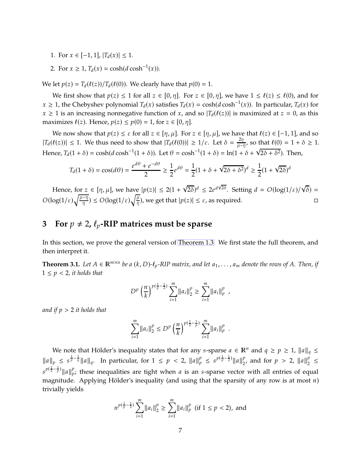- 1. For  $x \in [-1, 1]$ ,  $|T_d(x)| \leq 1$ .
- 2. For  $x \ge 1$ ,  $T_d(x) = \cosh(d \cosh^{-1}(x))$ .

We let  $p(z) = T_d(\ell(z))/T_d(\ell(0))$ . We clearly have that  $p(0) = 1$ .

We first show that  $p(z) \leq 1$  for all  $z \in [0, \eta]$ . For  $z \in [0, \eta]$ , we have  $1 \leq \ell(z) \leq \ell(0)$ , and for  $x \ge 1$ , the Chebyshev polynomial  $T_d(x)$  satisfies  $T_d(x) = \cosh(d \cosh^{-1}(x))$ . In particular,  $T_d(x)$  for  $x \geq 1$  is an increasing nonnegative function of x, and so  $|T_d(\ell(z))|$  is maximized at  $z = 0$ , as this maximizes  $\ell(z)$ . Hence,  $p(z) \leq p(0) = 1$ , for  $z \in [0, \eta]$ .

We now show that  $p(z) \le \varepsilon$  for all  $z \in [\eta, \mu]$ . For  $z \in [\eta, \mu]$ , we have that  $\ell(z) \in [-1, 1]$ , and so  $|T_d(\ell(z))| \leq 1$ . We thus need to show that  $|T_d(\ell(0))| \geq 1/\varepsilon$ . Let  $\delta = \frac{2\eta}{\mu - \varepsilon}$  $\frac{2\eta}{\mu-\eta}$ , so that  $\ell(0) = 1 + \delta \geq 1$ . Hence,  $T_d(1 + \delta) = \cosh(d \cosh^{-1}(1 + \delta))$ . Let  $\theta = \cosh^{-1}(1 + \delta) = \ln(1 + \delta + \sqrt{2\delta + \delta^2})$ . Then,

$$
T_d(1+\delta) = \cos(d\theta) = \frac{e^{d\theta} + e^{-d\theta}}{2} \ge \frac{1}{2}e^{d\theta} = \frac{1}{2}(1+\delta + \sqrt{2\delta + \delta^2})^d \ge \frac{1}{2}(1+\sqrt{2\delta})^d
$$

Hence, for  $z \in [\eta, \mu]$ , we have  $|p(z)| \leq 2(1 + \sqrt{2\delta})^d \leq 2e^{d\sqrt{2\delta}}$ . Setting  $d = O(\log(1/\varepsilon)/\sqrt{\delta}) =$  $O(\log(1/\varepsilon)\sqrt{\frac{\mu-\eta}{\eta}}) \leq O(\log(1/\varepsilon)\sqrt{\frac{\mu}{\eta}})$ , we get that  $|p(z)| \leq \varepsilon$ , as required.

## **3** For  $p \neq 2$ ,  $\ell_p$ -RIP matrices must be sparse

<span id="page-6-0"></span>In this section, we prove the general version of [Theorem 1.3.](#page-2-3) We first state the full theorem, and then interpret it.

**Theorem 3.1.** Let  $A \in \mathbb{R}^{m \times n}$  be a  $(k, D)$ - $\ell_p$ -RIP matrix, and let  $a_1, \ldots, a_m$  denote the rows of A. Then, if  $1 \leq p < 2$ , it holds that

$$
D^{p}\left(\frac{n}{k}\right)^{p(\frac{1}{p}-\frac{1}{2})}\sum_{i=1}^{m}\|a_{i}\|_{2}^{p}\geq \sum_{i=1}^{m}\|a_{i}\|_{p}^{p},
$$

*and if*  $p > 2$  *it holds that* 

$$
\sum_{i=1}^m ||a_i||_2^p \le D^p \left(\frac{n}{k}\right)^{p(\frac{1}{2}-\frac{1}{p})} \sum_{i=1}^m ||a_i||_p^p.
$$

We note that Hölder's inequality states that for any *s*-sparse  $a \in \mathbb{R}^n$  and  $q \geq p \geq 1$ ,  $||a||_q \leq$  $||a||_p \leq s^{\frac{1}{p}-\frac{1}{q}} ||a||_q$ . In particular, for  $1 \leq p < 2$ ,  $||a||_p^p \leq s^{p(\frac{1}{p}-\frac{1}{2})} ||a||_2^p$  $p_2$ , and for  $p > 2$ ,  $||a||_2^p$  $\frac{1}{2}$   $\leq$  $s^{p(\frac{1}{2}-\frac{1}{p})}$ || a || $_p^p$  $_{p}^{\nu}$ ; these inequalities are tight when *a* is an *s*-sparse vector with all entries of equal magnitude. Applying Hölder's inequality (and using that the sparsity of any row is at most  $n$ ) trivially yields

$$
n^{p(\frac{1}{p}-\frac{1}{2})}\sum_{i=1}^{m}||a_i||_2^p \ge \sum_{i=1}^{m}||a_i||_p^p \text{ (if } 1 \le p < 2\text{), and}
$$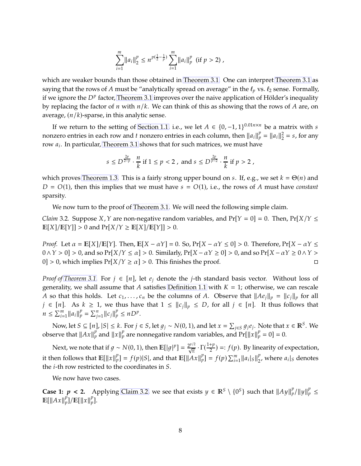$$
\sum_{i=1}^m \|a_i\|_2^p \le n^{p(\frac{1}{2}-\frac{1}{p})}\sum_{i=1}^m \|a_i\|_p^p \text{ (if } p>2),
$$

which are weaker bounds than those obtained in [Theorem 3.1.](#page-6-0) One can interpret [Theorem 3.1](#page-6-0) as saying that the rows of A must be "analytically spread on average" in the  $\ell_p$  vs.  $\ell_2$  sense. Formally, if we ignore the  $D^p$  factor, [Theorem 3.1](#page-6-0) improves over the naive application of Hölder's inequality by replacing the factor of  $n$  with  $n/k$ . We can think of this as showing that the rows of A are, on average,  $(n/k)$ -sparse, in this analytic sense.

If we return to the setting of [Section 1.1,](#page-1-1) i.e., we let  $A \in \{0, -1, 1\}^{0.01n \times n}$  be a matrix with s nonzero entries in each row and t nonzero entries in each column, then  $||a_i||_p^p = ||a_i||_2^2$  $2<sub>2</sub> = s$ , for any row  $a_i$ . In particular, [Theorem 3.1](#page-6-0) shows that for such matrices, we must have

$$
s \le D^{\frac{2p}{2-p}} \cdot \frac{n}{k}
$$
 if  $1 \le p < 2$ , and  $s \le D^{\frac{2p}{p-2}} \cdot \frac{n}{k}$  if  $p > 2$ ,

which proves [Theorem 1.3.](#page-2-3) This is a fairly strong upper bound on s. If, e.g., we set  $k = \Theta(n)$  and  $D = O(1)$ , then this implies that we must have  $s = O(1)$ , i.e., the rows of A must have *constant* sparsity.

<span id="page-7-0"></span>We now turn to the proof of [Theorem 3.1.](#page-6-0) We will need the following simple claim.

*Claim* 3.2. Suppose X, Y are non-negative random variables, and  $Pr[Y = 0] = 0$ . Then,  $Pr[X|Y \leq \mathbb{Z}]$  $\mathbb{E}[X]/\mathbb{E}[Y] > 0$  and  $\Pr[X/Y \geq \mathbb{E}[X]/\mathbb{E}[Y]] > 0$ .

*Proof.* Let  $\alpha = \mathbb{E}[X]/\mathbb{E}[Y]$ . Then,  $\mathbb{E}[X - \alpha Y] = 0$ . So,  $\Pr[X - \alpha Y \le 0] > 0$ . Therefore,  $\Pr[X - \alpha Y \le 0]$  $0 \wedge Y > 0$  > 0, and so Pr[ $X/Y \le \alpha$ ] > 0. Similarly, Pr[ $X - \alpha Y \ge 0$ ] > 0, and so Pr[ $X - \alpha Y \ge 0 \wedge Y > 0$ 0] > 0, which implies  $Pr[X/Y \ge \alpha] > 0$ . This finishes the proof.

*Proof of [Theorem 3.1.](#page-6-0)* For  $j \in [n]$ , let  $e_j$  denote the *j*-th standard basis vector. Without loss of generality, we shall assume that A satisfies [Definition 1.1](#page-0-2) with  $K = 1$ ; otherwise, we can rescale A so that this holds. Let  $c_1, \ldots, c_n$  be the columns of A. Observe that  $||Ae_j||_p = ||c_j||_p$  for all  $j \in [n]$ . As  $k \ge 1$ , we thus have that  $1 \le ||c_j||_p \le D$ , for all  $j \in [n]$ . It thus follows that  $n \le \sum_{i=1}^{m} ||a_i||_p^p = \sum_{j=1}^{n} ||c_j||_p^p \le nD^p.$ 

Now, let  $S \subseteq [n]$ ,  $|S| \le k$ . For  $j \in S$ , let  $g_j \sim N(0, 1)$ , and let  $x = \sum_{j \in S} g_j e_j$ . Note that  $x \in \mathbb{R}^S$ . We observe that  $||Ax||_p^p$  and  $||x||_p^p$  are nonnegative random variables, and  $Pr[||x||_p^p = 0] = 0$ .

Next, we note that if  $g \sim N(0, 1)$ , then  $\mathbb{E}[|g|^p] = \frac{2^{p/2}}{\sqrt{\pi}} \cdot \Gamma(\frac{1+p}{2}) =: f(p)$ . By linearity of expectation, it then follows that  $\mathbb{E}[\Vert x \Vert_p^p]$  $\mathcal{L}_{p}^{p}$ ] =  $f(p)|S|$ , and that  $\mathbb{E}[\Vert Ax \Vert_{p}^{p}]$  $_{p}^{p}$ ] =  $f(p)$   $\sum_{i=1}^{m} ||a_{i}|_{S}||_{2}^{p}$  $E_2^p$ , where  $a_i|_S$  denotes the *i*-th row restricted to the coordinates in S.

We now have two cases.

**Case 1:**  $p < 2$ . Applying [Claim 3.2,](#page-7-0) we see that exists  $y \in \mathbb{R}^S \setminus \{0\}$  such that  $||Ay||_p^p / ||y||_p^p \le$  $\mathbb{E}[\Vert Ax \Vert_p^p]$  $_p^p$ ]/E[||x|| $_p^p$  $_{p}^{\nu}$ ].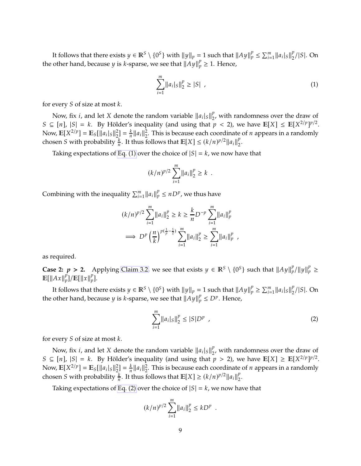It follows that there exists  $y \in \mathbb{R}^S \setminus \{0^S\}$  with  $||y||_p = 1$  such that  $||Ay||_p^p \le \sum_{i=1}^m ||a_i|_S||_2^p$  $\binom{p}{2}/|S|$ . On the other hand, because *y* is *k*-sparse, we see that  $||Ay||_p^p \ge 1$ . Hence,

<span id="page-8-0"></span>
$$
\sum_{i=1}^{m} ||a_i|_S||_2^p \ge |S| \t\t(1)
$$

for every  $S$  of size at most  $k$ .

Now, fix *i*, and let *X* denote the random variable  $||a_i||_S||_2^p$  $\frac{p}{2}$ , with randomness over the draw of  $S \subseteq [n]$ ,  $|S| = k$ . By Hölder's inequality (and using that  $p < 2$ ), we have  $\mathbb{E}[X] \leq \mathbb{E}[X^{2/p}]^{p/2}$ . Now,  $\mathbb{E}[X^{2/p}] = \mathbb{E}_{S} [\|a_{i}|_{S}\|_{2}^{2}]$  $\binom{2}{2} = \frac{k}{n}$  $\frac{k}{n}$ || $a_i$ || $\frac{2}{2}$  $\frac{2}{2}$ . This is because each coordinate of *n* appears in a randomly chosen S with probability  $\frac{k}{n}$ . It thus follows that  $\mathbb{E}[X] \le (k/n)^{p/2} ||a_i||_2^p$  $\frac{1}{2}$ .

Taking expectations of [Eq. \(1\)](#page-8-0) over the choice of  $|S| = k$ , we now have that

$$
(k/n)^{p/2}\sum_{i=1}^m||a_i||_2^p\geq k.
$$

Combining with the inequality  $\sum_{i=1}^{m} ||a_i||_p^p \le nD^p$ , we thus have

$$
(k/n)^{p/2} \sum_{i=1}^{m} ||a_i||_2^p \ge k \ge \frac{k}{n} D^{-p} \sum_{i=1}^{m} ||a_i||_p^p
$$
  

$$
\implies D^p \left(\frac{n}{k}\right)^{p(\frac{1}{p}-\frac{1}{2})} \sum_{i=1}^{m} ||a_i||_2^p \ge \sum_{i=1}^{m} ||a_i||_p^p,
$$

as required.

**Case 2:**  $p > 2$ . Applying [Claim 3.2,](#page-7-0) we see that exists  $y \in \mathbb{R}^S \setminus \{0^S\}$  such that  $||Ay||_p^p/||y||_p^p \ge$  $\mathbb{E}[\Vert Ax \Vert_p^p]$  $_p^p$ ]/E[||x|| $_p^p$  $_{p}^{\nu}$ ].

It follows that there exists  $y \in \mathbb{R}^S \setminus \{0^S\}$  with  $||y||_p = 1$  such that  $||Ay||_p^p \ge \sum_{i=1}^m ||a_i|_S||_2^p$  $\binom{p}{2}/|S|$ . On the other hand, because *y* is *k*-sparse, we see that  $||Ay||_p^p \le D^p$ . Hence,

<span id="page-8-1"></span>
$$
\sum_{i=1}^{m} \|a_i|_S\|_2^p \le |S|D^p \quad , \tag{2}
$$

for every  $S$  of size at most  $k$ .

Now, fix *i*, and let *X* denote the random variable  $||a_i||_S||_2^p$  $\frac{p}{2}$ , with randomness over the draw of  $S \subseteq [n]$ ,  $|S| = k$ . By Hölder's inequality (and using that  $p > 2$ ), we have  $\mathbb{E}[X] \geq \mathbb{E}[X^{2/p}]^{p/2}$ . Now,  $\mathbb{E}[X^{2/p}] = \mathbb{E}_{S} [\|a_{i}|_{S}\|_{2}^{2}]$  $\binom{2}{2} = \frac{k}{n}$  $\frac{k}{n}$ || $a_i$ || $\frac{2}{2}$  $\frac{2}{2}$ . This is because each coordinate of *n* appears in a randomly chosen *S* with probability  $\frac{k}{n}$ . It thus follows that  $\mathbb{E}[X] \ge (k/n)^{p/2} ||a_i||_2^p$  $\frac{p}{2}$ .

Taking expectations of [Eq. \(2\)](#page-8-1) over the choice of  $|S| = k$ , we now have that

$$
(k/n)^{p/2} \sum_{i=1}^m \|a_i\|_2^p \leq kD^p.
$$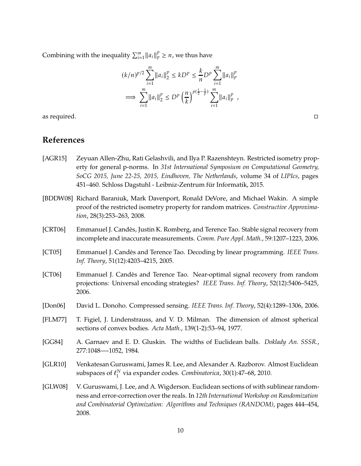Combining with the inequality  $\sum_{i=1}^{m} ||a_i||_p^p \ge n$ , we thus have

$$
(k/n)^{p/2} \sum_{i=1}^{m} ||a_i||_2^p \leq kD^p \leq \frac{k}{n} D^p \sum_{i=1}^{m} ||a_i||_p^p
$$
  

$$
\implies \sum_{i=1}^{m} ||a_i||_2^p \leq D^p \left(\frac{n}{k}\right)^{p(\frac{1}{2} - \frac{1}{p})} \sum_{i=1}^{m} ||a_i||_p^p,
$$

as required.  $\Box$ 

# **References**

- <span id="page-9-4"></span>[AGR15] Zeyuan Allen-Zhu, Rati Gelashvili, and Ilya P. Razenshteyn. Restricted isometry property for general p-norms. In *31st International Symposium on Computational Geometry, SoCG 2015, June 22-25, 2015, Eindhoven, The Netherlands*, volume 34 of *LIPIcs*, pages 451–460. Schloss Dagstuhl - Leibniz-Zentrum für Informatik, 2015.
- <span id="page-9-9"></span>[BDDW08] Richard Baraniuk, Mark Davenport, Ronald DeVore, and Michael Wakin. A simple proof of the restricted isometry property for random matrices. *Constructive Approximation*, 28(3):253–263, 2008.
- <span id="page-9-3"></span>[CRT06] Emmanuel J. Candès, Justin K. Romberg, and Terence Tao. Stable signal recovery from incomplete and inaccurate measurements. *Comm. Pure Appl. Math.*, 59:1207–1223, 2006.
- <span id="page-9-2"></span>[CT05] Emmanuel J. Candès and Terence Tao. Decoding by linear programming. *IEEE Trans. Inf. Theory*, 51(12):4203–4215, 2005.
- <span id="page-9-1"></span>[CT06] Emmanuel J. Candès and Terence Tao. Near-optimal signal recovery from random projections: Universal encoding strategies? *IEEE Trans. Inf. Theory*, 52(12):5406–5425, 2006.
- <span id="page-9-0"></span>[Don06] David L. Donoho. Compressed sensing. *IEEE Trans. Inf. Theory*, 52(4):1289–1306, 2006.
- <span id="page-9-5"></span>[FLM77] T. Figiel, J. Lindenstrauss, and V. D. Milman. The dimension of almost spherical sections of convex bodies. *Acta Math.*, 139(1-2):53–94, 1977.
- <span id="page-9-6"></span>[GG84] A. Garnaev and E. D. Gluskin. The widths of Euclidean balls. *Doklady An. SSSR.*, 277:1048—-1052, 1984.
- <span id="page-9-7"></span>[GLR10] Venkatesan Guruswami, James R. Lee, and Alexander A. Razborov. Almost Euclidean subspaces of  $\ell_1^N$ 1 via expander codes. *Combinatorica*, 30(1):47–68, 2010.
- <span id="page-9-8"></span>[GLW08] V. Guruswami, J. Lee, and A. Wigderson. Euclidean sections of with sublinear randomness and error-correction over the reals. In *12th International Workshop on Randomization and Combinatorial Optimization: Algorithms and Techniques (RANDOM)*, pages 444–454, 2008.